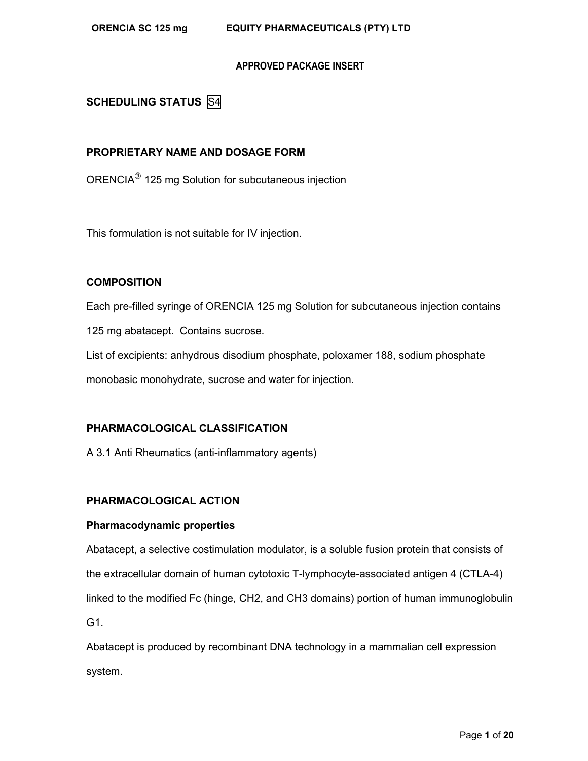**SCHEDULING STATUS** S4

# **PROPRIETARY NAME AND DOSAGE FORM**

ORENCIA<sup>®</sup> 125 mg Solution for subcutaneous injection

This formulation is not suitable for IV injection.

# **COMPOSITION**

Each pre-filled syringe of ORENCIA 125 mg Solution for subcutaneous injection contains 125 mg abatacept. Contains sucrose.

List of excipients: anhydrous disodium phosphate, poloxamer 188, sodium phosphate monobasic monohydrate, sucrose and water for injection.

# **PHARMACOLOGICAL CLASSIFICATION**

A 3.1 Anti Rheumatics (anti-inflammatory agents)

# **PHARMACOLOGICAL ACTION**

# **Pharmacodynamic properties**

Abatacept, a selective costimulation modulator, is a soluble fusion protein that consists of the extracellular domain of human cytotoxic T-lymphocyte-associated antigen 4 (CTLA-4) linked to the modified Fc (hinge, CH2, and CH3 domains) portion of human immunoglobulin G1.

Abatacept is produced by recombinant DNA technology in a mammalian cell expression system.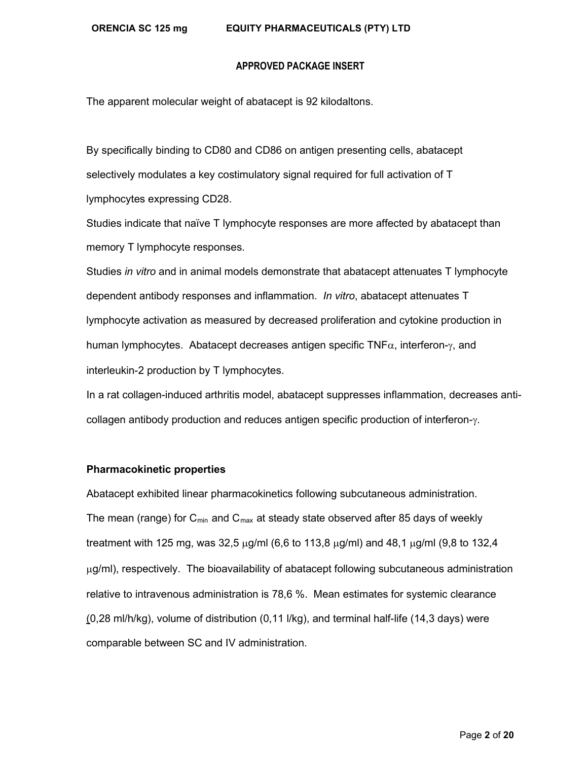#### **ORENCIA SC 125 mg EQUITY PHARMACEUTICALS (PTY) LTD**

#### **APPROVED PACKAGE INSERT**

The apparent molecular weight of abatacept is 92 kilodaltons.

By specifically binding to CD80 and CD86 on antigen presenting cells, abatacept selectively modulates a key costimulatory signal required for full activation of T lymphocytes expressing CD28.

Studies indicate that naïve T lymphocyte responses are more affected by abatacept than memory T lymphocyte responses.

Studies *in vitro* and in animal models demonstrate that abatacept attenuates T lymphocyte dependent antibody responses and inflammation. *In vitro*, abatacept attenuates T lymphocyte activation as measured by decreased proliferation and cytokine production in human lymphocytes. Abatacept decreases antigen specific TNF $\alpha$ , interferon-γ, and interleukin-2 production by T lymphocytes.

In a rat collagen-induced arthritis model, abatacept suppresses inflammation, decreases anticollagen antibody production and reduces antigen specific production of interferon- $\gamma$ .

#### **Pharmacokinetic properties**

Abatacept exhibited linear pharmacokinetics following subcutaneous administration. The mean (range) for  $C_{min}$  and  $C_{max}$  at steady state observed after 85 days of weekly treatment with 125 mg, was 32,5 µg/ml (6,6 to 113,8 µg/ml) and 48,1 µg/ml (9,8 to 132,4  $\mu$ g/ml), respectively. The bioavailability of abatacept following subcutaneous administration relative to intravenous administration is 78,6 %. Mean estimates for systemic clearance (0,28 ml/h/kg), volume of distribution (0,11 l/kg), and terminal half-life (14,3 days) were comparable between SC and IV administration.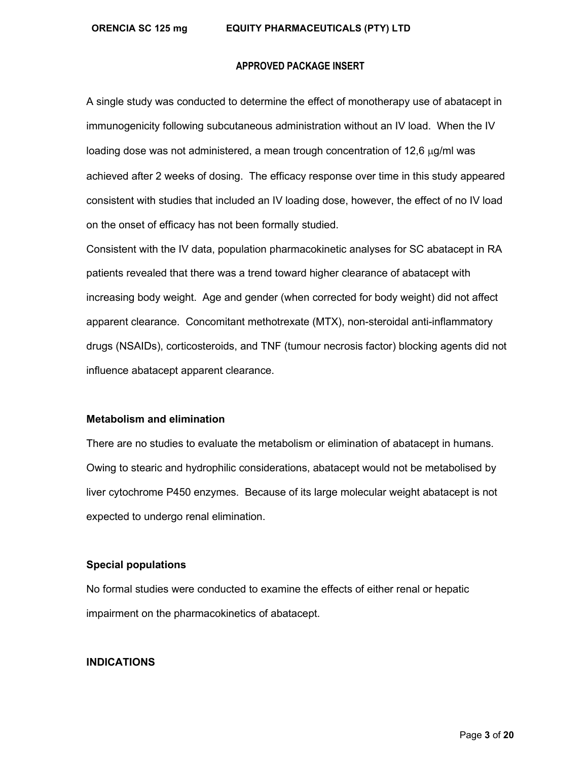A single study was conducted to determine the effect of monotherapy use of abatacept in immunogenicity following subcutaneous administration without an IV load. When the IV loading dose was not administered, a mean trough concentration of 12,6  $\mu$ g/ml was achieved after 2 weeks of dosing. The efficacy response over time in this study appeared consistent with studies that included an IV loading dose, however, the effect of no IV load on the onset of efficacy has not been formally studied.

Consistent with the IV data, population pharmacokinetic analyses for SC abatacept in RA patients revealed that there was a trend toward higher clearance of abatacept with increasing body weight. Age and gender (when corrected for body weight) did not affect apparent clearance. Concomitant methotrexate (MTX), non-steroidal anti-inflammatory drugs (NSAIDs), corticosteroids, and TNF (tumour necrosis factor) blocking agents did not influence abatacept apparent clearance.

#### **Metabolism and elimination**

There are no studies to evaluate the metabolism or elimination of abatacept in humans. Owing to stearic and hydrophilic considerations, abatacept would not be metabolised by liver cytochrome P450 enzymes. Because of its large molecular weight abatacept is not expected to undergo renal elimination.

# **Special populations**

No formal studies were conducted to examine the effects of either renal or hepatic impairment on the pharmacokinetics of abatacept.

#### **INDICATIONS**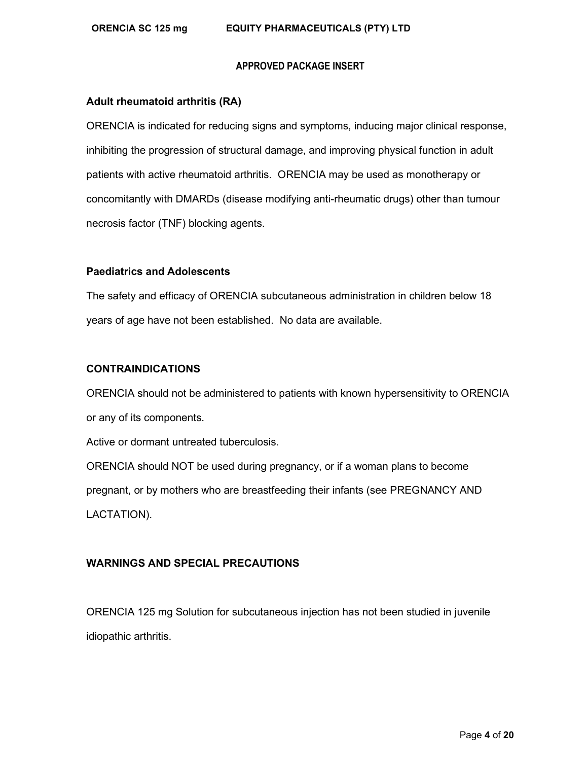#### **Adult rheumatoid arthritis (RA)**

ORENCIA is indicated for reducing signs and symptoms, inducing major clinical response, inhibiting the progression of structural damage, and improving physical function in adult patients with active rheumatoid arthritis. ORENCIA may be used as monotherapy or concomitantly with DMARDs (disease modifying anti-rheumatic drugs) other than tumour necrosis factor (TNF) blocking agents.

#### **Paediatrics and Adolescents**

The safety and efficacy of ORENCIA subcutaneous administration in children below 18 years of age have not been established. No data are available.

# **CONTRAINDICATIONS**

ORENCIA should not be administered to patients with known hypersensitivity to ORENCIA or any of its components.

Active or dormant untreated tuberculosis.

ORENCIA should NOT be used during pregnancy, or if a woman plans to become pregnant, or by mothers who are breastfeeding their infants (see PREGNANCY AND LACTATION).

# **WARNINGS AND SPECIAL PRECAUTIONS**

ORENCIA 125 mg Solution for subcutaneous injection has not been studied in juvenile idiopathic arthritis.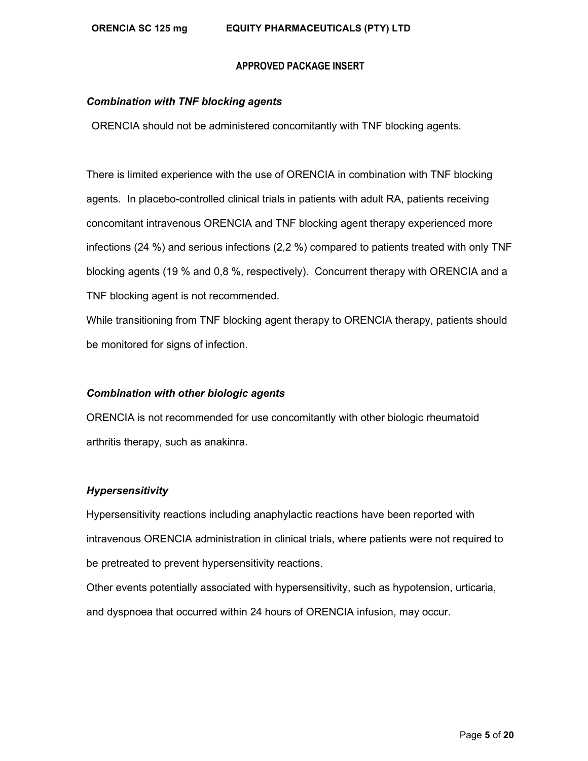#### *Combination with TNF blocking agents*

ORENCIA should not be administered concomitantly with TNF blocking agents.

There is limited experience with the use of ORENCIA in combination with TNF blocking agents. In placebo-controlled clinical trials in patients with adult RA, patients receiving concomitant intravenous ORENCIA and TNF blocking agent therapy experienced more infections (24 %) and serious infections (2,2 %) compared to patients treated with only TNF blocking agents (19 % and 0,8 %, respectively). Concurrent therapy with ORENCIA and a TNF blocking agent is not recommended.

While transitioning from TNF blocking agent therapy to ORENCIA therapy, patients should be monitored for signs of infection.

#### *Combination with other biologic agents*

ORENCIA is not recommended for use concomitantly with other biologic rheumatoid arthritis therapy, such as anakinra.

#### *Hypersensitivity*

Hypersensitivity reactions including anaphylactic reactions have been reported with intravenous ORENCIA administration in clinical trials, where patients were not required to be pretreated to prevent hypersensitivity reactions.

Other events potentially associated with hypersensitivity, such as hypotension, urticaria, and dyspnoea that occurred within 24 hours of ORENCIA infusion, may occur.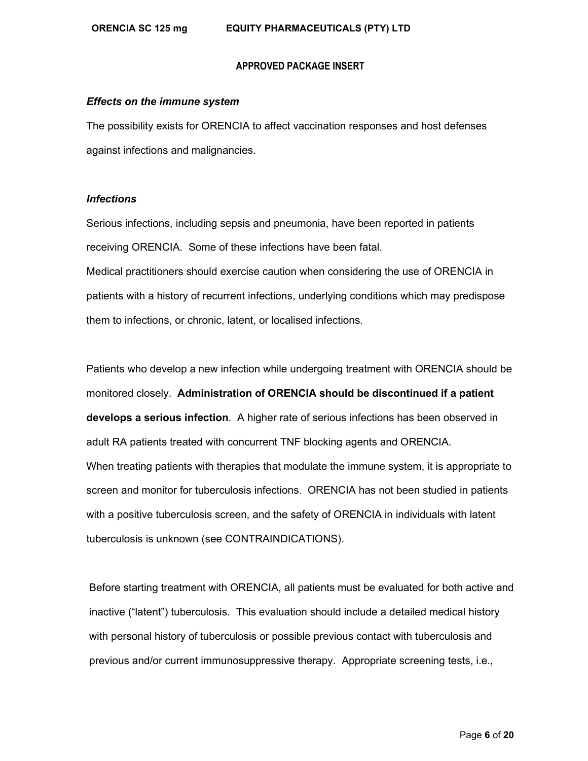#### *Effects on the immune system*

The possibility exists for ORENCIA to affect vaccination responses and host defenses against infections and malignancies.

#### *Infections*

Serious infections, including sepsis and pneumonia, have been reported in patients receiving ORENCIA. Some of these infections have been fatal. Medical practitioners should exercise caution when considering the use of ORENCIA in patients with a history of recurrent infections, underlying conditions which may predispose them to infections, or chronic, latent, or localised infections.

Patients who develop a new infection while undergoing treatment with ORENCIA should be monitored closely. **Administration of ORENCIA should be discontinued if a patient develops a serious infection**. A higher rate of serious infections has been observed in adult RA patients treated with concurrent TNF blocking agents and ORENCIA. When treating patients with therapies that modulate the immune system, it is appropriate to screen and monitor for tuberculosis infections. ORENCIA has not been studied in patients with a positive tuberculosis screen, and the safety of ORENCIA in individuals with latent tuberculosis is unknown (see CONTRAINDICATIONS).

Before starting treatment with ORENCIA, all patients must be evaluated for both active and inactive ("latent") tuberculosis. This evaluation should include a detailed medical history with personal history of tuberculosis or possible previous contact with tuberculosis and previous and/or current immunosuppressive therapy. Appropriate screening tests, i.e.,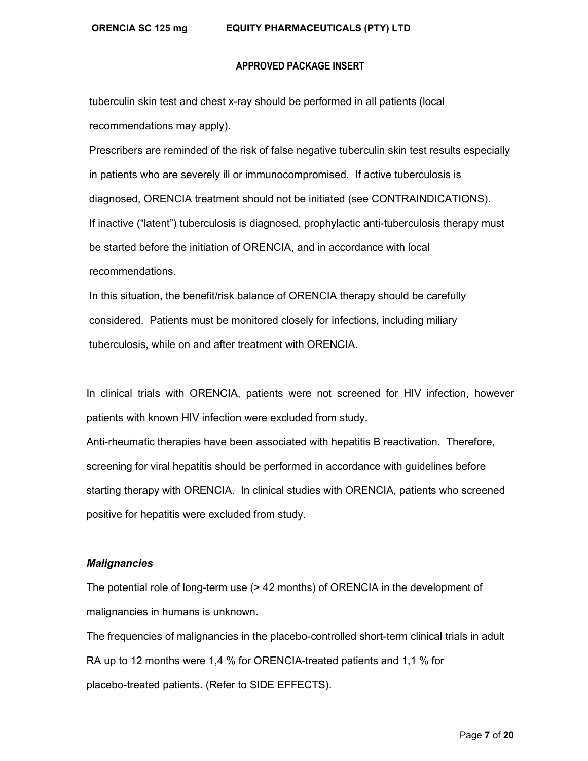#### **ORENCIA SC 125 mg EQUITY PHARMACEUTICALS (PTY) LTD**

#### **APPROVED PACKAGE INSERT**

tuberculin skin test and chest x-ray should be performed in all patients (local recommendations may apply).

Prescribers are reminded of the risk of false negative tuberculin skin test results especially in patients who are severely ill or immunocompromised. If active tuberculosis is diagnosed, ORENCIA treatment should not be initiated (see CONTRAINDICATIONS). If inactive ("latent") tuberculosis is diagnosed, prophylactic anti-tuberculosis therapy must be started before the initiation of ORENCIA, and in accordance with local recommendations.

In this situation, the benefit/risk balance of ORENCIA therapy should be carefully considered. Patients must be monitored closely for infections, including miliary tuberculosis, while on and after treatment with ORENCIA.

In clinical trials with ORENCIA, patients were not screened for HIV infection, however patients with known HIV infection were excluded from study.

Anti-rheumatic therapies have been associated with hepatitis B reactivation. Therefore, screening for viral hepatitis should be performed in accordance with guidelines before starting therapy with ORENCIA. In clinical studies with ORENCIA, patients who screened positive for hepatitis were excluded from study.

#### *Malignancies*

The potential role of long-term use (> 42 months) of ORENCIA in the development of malignancies in humans is unknown.

The frequencies of malignancies in the placebo-controlled short-term clinical trials in adult RA up to 12 months were 1,4 % for ORENCIA-treated patients and 1,1 % for placebo-treated patients. (Refer to SIDE EFFECTS).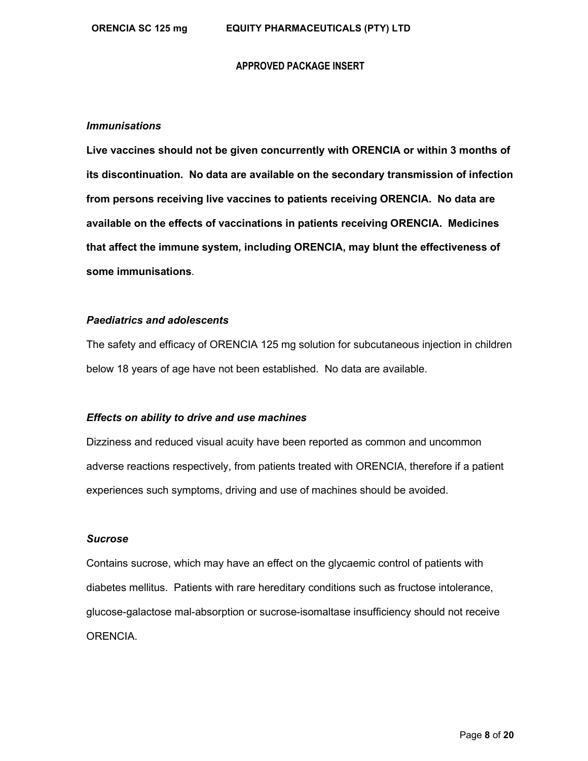#### *Immunisations*

**Live vaccines should not be given concurrently with ORENCIA or within 3 months of its discontinuation. No data are available on the secondary transmission of infection from persons receiving live vaccines to patients receiving ORENCIA. No data are available on the effects of vaccinations in patients receiving ORENCIA. Medicines that affect the immune system, including ORENCIA, may blunt the effectiveness of some immunisations**.

#### *Paediatrics and adolescents*

The safety and efficacy of ORENCIA 125 mg solution for subcutaneous injection in children below 18 years of age have not been established. No data are available.

# *Effects on ability to drive and use machines*

Dizziness and reduced visual acuity have been reported as common and uncommon adverse reactions respectively, from patients treated with ORENCIA, therefore if a patient experiences such symptoms, driving and use of machines should be avoided.

#### *Sucrose*

Contains sucrose, which may have an effect on the glycaemic control of patients with diabetes mellitus. Patients with rare hereditary conditions such as fructose intolerance, glucose-galactose mal-absorption or sucrose-isomaltase insufficiency should not receive ORENCIA.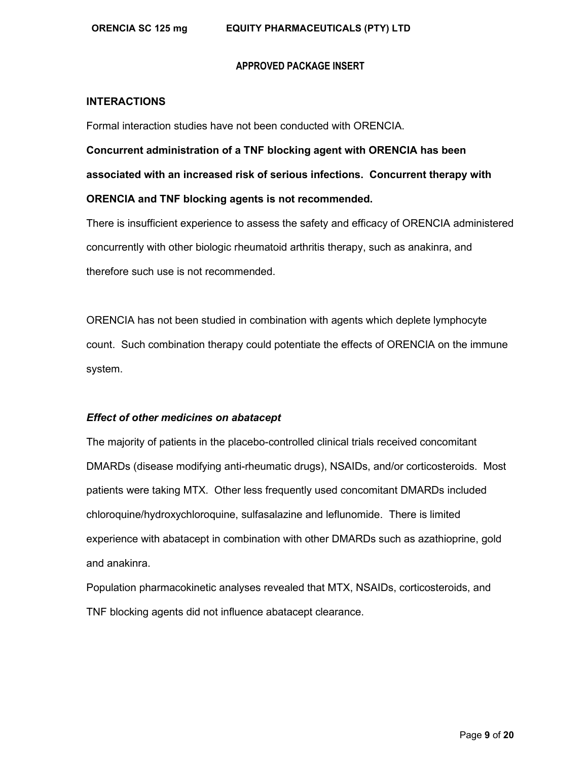#### **INTERACTIONS**

Formal interaction studies have not been conducted with ORENCIA.

**Concurrent administration of a TNF blocking agent with ORENCIA has been associated with an increased risk of serious infections. Concurrent therapy with ORENCIA and TNF blocking agents is not recommended.**

There is insufficient experience to assess the safety and efficacy of ORENCIA administered concurrently with other biologic rheumatoid arthritis therapy, such as anakinra, and therefore such use is not recommended.

ORENCIA has not been studied in combination with agents which deplete lymphocyte count. Such combination therapy could potentiate the effects of ORENCIA on the immune system.

### *Effect of other medicines on abatacept*

The majority of patients in the placebo-controlled clinical trials received concomitant DMARDs (disease modifying anti-rheumatic drugs), NSAIDs, and/or corticosteroids. Most patients were taking MTX. Other less frequently used concomitant DMARDs included chloroquine/hydroxychloroquine, sulfasalazine and leflunomide. There is limited experience with abatacept in combination with other DMARDs such as azathioprine, gold and anakinra.

Population pharmacokinetic analyses revealed that MTX, NSAIDs, corticosteroids, and TNF blocking agents did not influence abatacept clearance.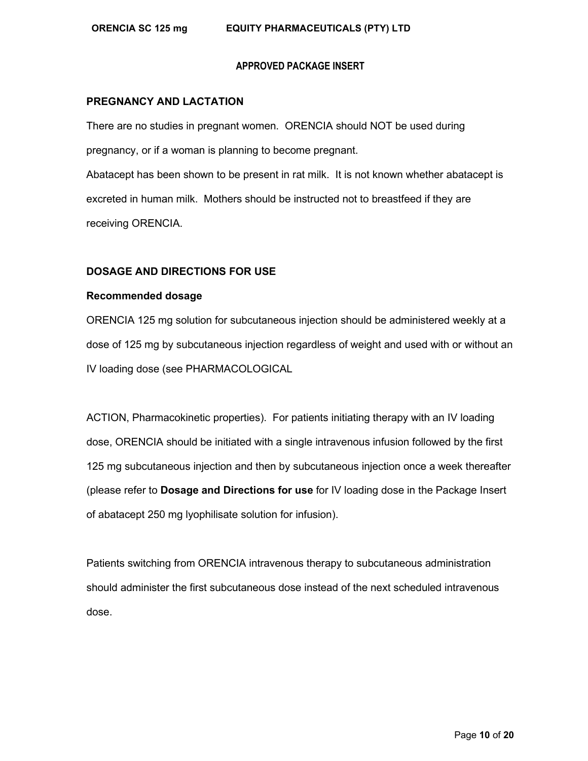#### **PREGNANCY AND LACTATION**

There are no studies in pregnant women. ORENCIA should NOT be used during pregnancy, or if a woman is planning to become pregnant. Abatacept has been shown to be present in rat milk. It is not known whether abatacept is excreted in human milk. Mothers should be instructed not to breastfeed if they are receiving ORENCIA.

#### **DOSAGE AND DIRECTIONS FOR USE**

## **Recommended dosage**

ORENCIA 125 mg solution for subcutaneous injection should be administered weekly at a dose of 125 mg by subcutaneous injection regardless of weight and used with or without an IV loading dose (see PHARMACOLOGICAL

ACTION, Pharmacokinetic properties). For patients initiating therapy with an IV loading dose, ORENCIA should be initiated with a single intravenous infusion followed by the first 125 mg subcutaneous injection and then by subcutaneous injection once a week thereafter (please refer to **Dosage and Directions for use** for IV loading dose in the Package Insert of abatacept 250 mg lyophilisate solution for infusion).

Patients switching from ORENCIA intravenous therapy to subcutaneous administration should administer the first subcutaneous dose instead of the next scheduled intravenous dose.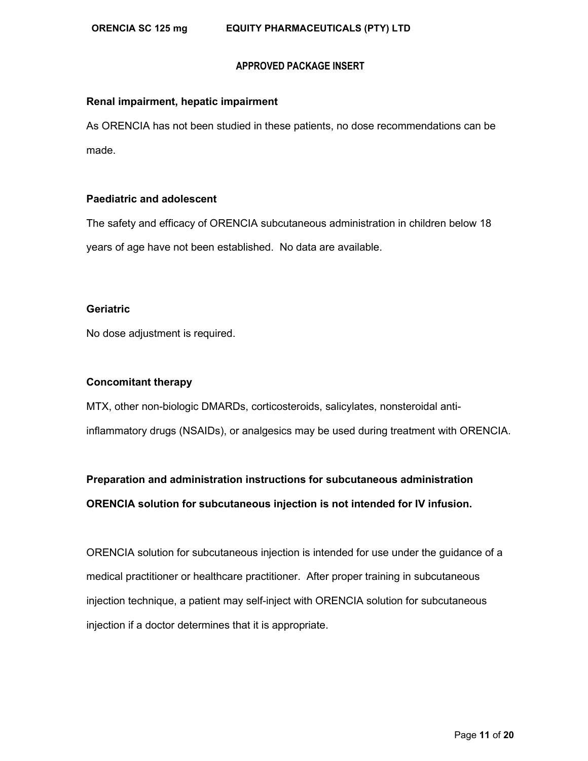#### **Renal impairment, hepatic impairment**

As ORENCIA has not been studied in these patients, no dose recommendations can be made.

#### **Paediatric and adolescent**

The safety and efficacy of ORENCIA subcutaneous administration in children below 18 years of age have not been established. No data are available.

#### **Geriatric**

No dose adjustment is required.

#### **Concomitant therapy**

MTX, other non-biologic DMARDs, corticosteroids, salicylates, nonsteroidal antiinflammatory drugs (NSAIDs), or analgesics may be used during treatment with ORENCIA.

# **Preparation and administration instructions for subcutaneous administration ORENCIA solution for subcutaneous injection is not intended for IV infusion.**

ORENCIA solution for subcutaneous injection is intended for use under the guidance of a medical practitioner or healthcare practitioner. After proper training in subcutaneous injection technique, a patient may self-inject with ORENCIA solution for subcutaneous injection if a doctor determines that it is appropriate.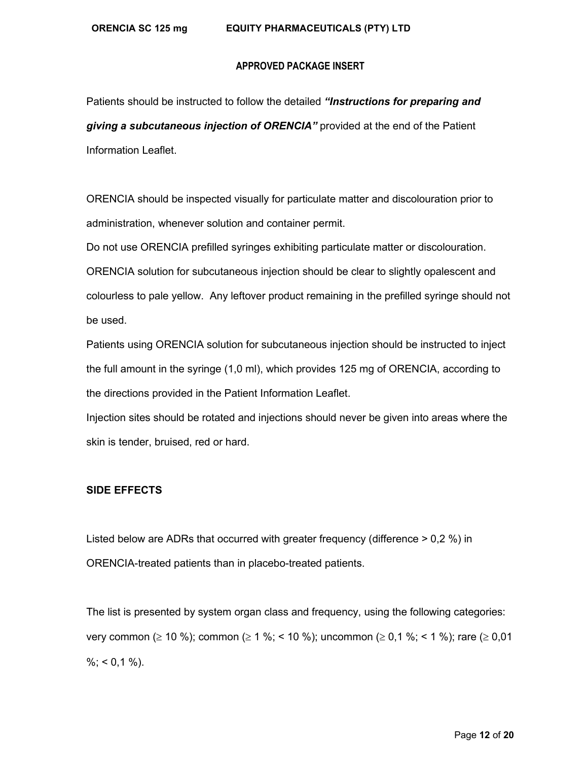Patients should be instructed to follow the detailed *"Instructions for preparing and giving a subcutaneous injection of ORENCIA"* provided at the end of the Patient Information Leaflet.

ORENCIA should be inspected visually for particulate matter and discolouration prior to administration, whenever solution and container permit.

Do not use ORENCIA prefilled syringes exhibiting particulate matter or discolouration. ORENCIA solution for subcutaneous injection should be clear to slightly opalescent and colourless to pale yellow. Any leftover product remaining in the prefilled syringe should not be used.

Patients using ORENCIA solution for subcutaneous injection should be instructed to inject the full amount in the syringe (1,0 ml), which provides 125 mg of ORENCIA, according to the directions provided in the Patient Information Leaflet.

Injection sites should be rotated and injections should never be given into areas where the skin is tender, bruised, red or hard.

# **SIDE EFFECTS**

Listed below are ADRs that occurred with greater frequency (difference > 0,2 %) in ORENCIA-treated patients than in placebo-treated patients.

The list is presented by system organ class and frequency, using the following categories: very common (≥ 10 %); common (≥ 1 %; < 10 %); uncommon (≥ 0,1 %; < 1 %); rare (≥ 0,01  $\%$ ; < 0,1 %).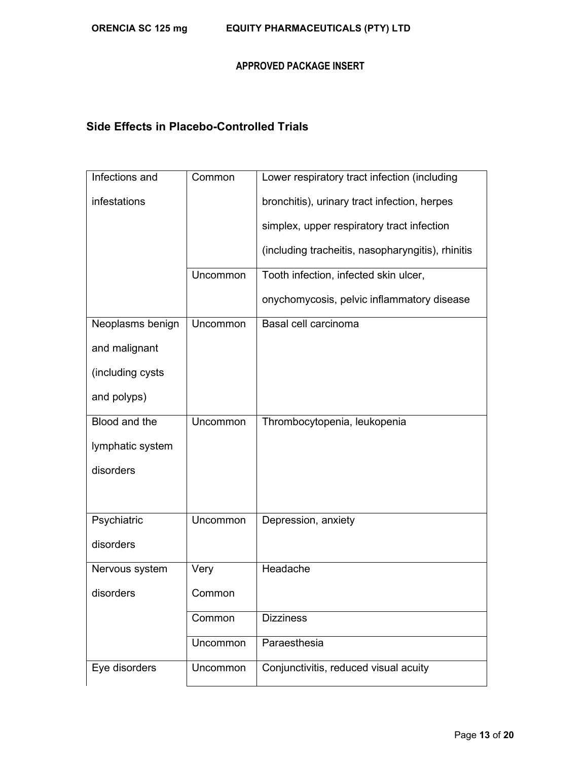# **Side Effects in Placebo-Controlled Trials**

| Infections and   | Common   | Lower respiratory tract infection (including      |
|------------------|----------|---------------------------------------------------|
| infestations     |          | bronchitis), urinary tract infection, herpes      |
|                  |          | simplex, upper respiratory tract infection        |
|                  |          | (including tracheitis, nasopharyngitis), rhinitis |
|                  | Uncommon | Tooth infection, infected skin ulcer,             |
|                  |          | onychomycosis, pelvic inflammatory disease        |
| Neoplasms benign | Uncommon | Basal cell carcinoma                              |
| and malignant    |          |                                                   |
| (including cysts |          |                                                   |
| and polyps)      |          |                                                   |
| Blood and the    | Uncommon | Thrombocytopenia, leukopenia                      |
| lymphatic system |          |                                                   |
| disorders        |          |                                                   |
|                  |          |                                                   |
| Psychiatric      | Uncommon | Depression, anxiety                               |
| disorders        |          |                                                   |
| Nervous system   | Very     | Headache                                          |
| disorders        | Common   |                                                   |
|                  | Common   | <b>Dizziness</b>                                  |
|                  | Uncommon | Paraesthesia                                      |
| Eye disorders    | Uncommon | Conjunctivitis, reduced visual acuity             |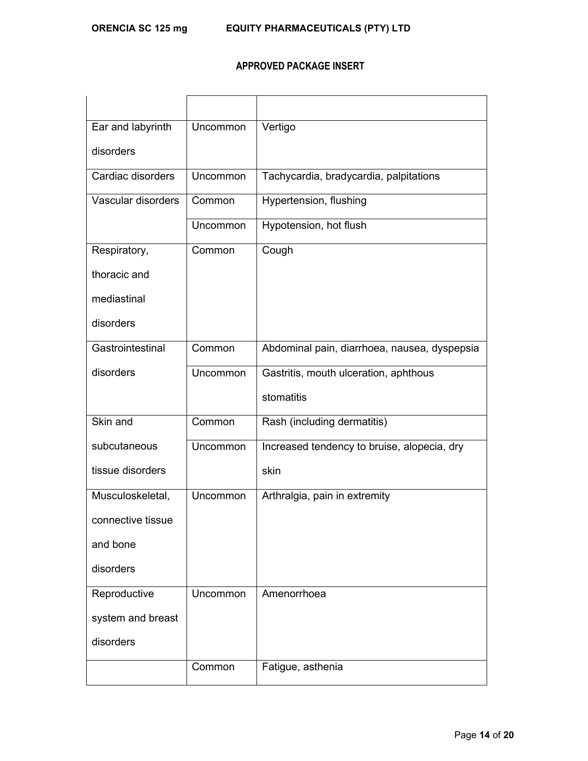| Ear and labyrinth  | Uncommon | Vertigo                                      |
|--------------------|----------|----------------------------------------------|
| disorders          |          |                                              |
| Cardiac disorders  | Uncommon | Tachycardia, bradycardia, palpitations       |
| Vascular disorders | Common   | Hypertension, flushing                       |
|                    | Uncommon | Hypotension, hot flush                       |
| Respiratory,       | Common   | Cough                                        |
| thoracic and       |          |                                              |
| mediastinal        |          |                                              |
| disorders          |          |                                              |
| Gastrointestinal   | Common   | Abdominal pain, diarrhoea, nausea, dyspepsia |
| disorders          | Uncommon | Gastritis, mouth ulceration, aphthous        |
|                    |          | stomatitis                                   |
| Skin and           | Common   | Rash (including dermatitis)                  |
| subcutaneous       | Uncommon | Increased tendency to bruise, alopecia, dry  |
| tissue disorders   |          | skin                                         |
| Musculoskeletal,   | Uncommon | Arthralgia, pain in extremity                |
| connective tissue  |          |                                              |
| and bone           |          |                                              |
| disorders          |          |                                              |
| Reproductive       | Uncommon | Amenorrhoea                                  |
| system and breast  |          |                                              |
| disorders          |          |                                              |
|                    | Common   | Fatigue, asthenia                            |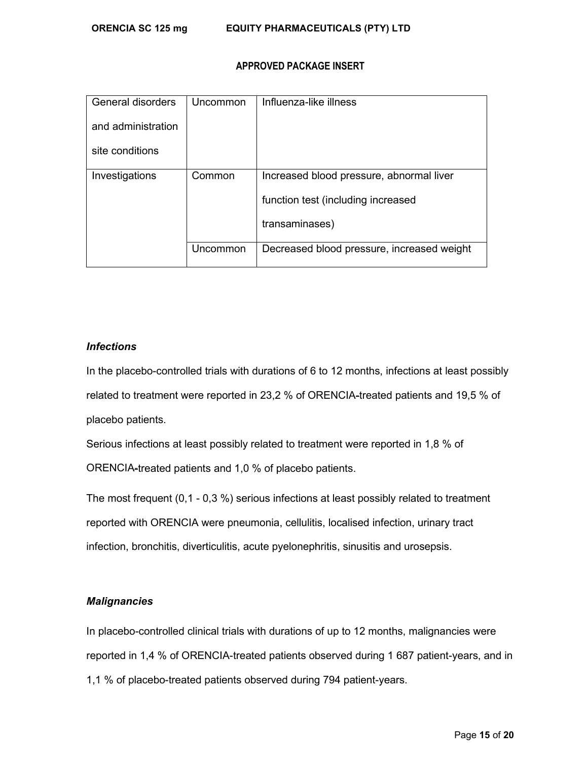| General disorders  | Uncommon | Influenza-like illness                     |
|--------------------|----------|--------------------------------------------|
| and administration |          |                                            |
| site conditions    |          |                                            |
| Investigations     | Common   | Increased blood pressure, abnormal liver   |
|                    |          | function test (including increased         |
|                    |          | transaminases)                             |
|                    | Uncommon | Decreased blood pressure, increased weight |

# *Infections*

In the placebo-controlled trials with durations of 6 to 12 months, infections at least possibly related to treatment were reported in 23,2 % of ORENCIA-treated patients and 19,5 % of placebo patients.

Serious infections at least possibly related to treatment were reported in 1,8 % of ORENCIA-treated patients and 1,0 % of placebo patients.

The most frequent (0,1 - 0,3 %) serious infections at least possibly related to treatment reported with ORENCIA were pneumonia, cellulitis, localised infection, urinary tract infection, bronchitis, diverticulitis, acute pyelonephritis, sinusitis and urosepsis.

# *Malignancies*

In placebo-controlled clinical trials with durations of up to 12 months, malignancies were reported in 1,4 % of ORENCIA-treated patients observed during 1 687 patient-years, and in 1,1 % of placebo-treated patients observed during 794 patient-years.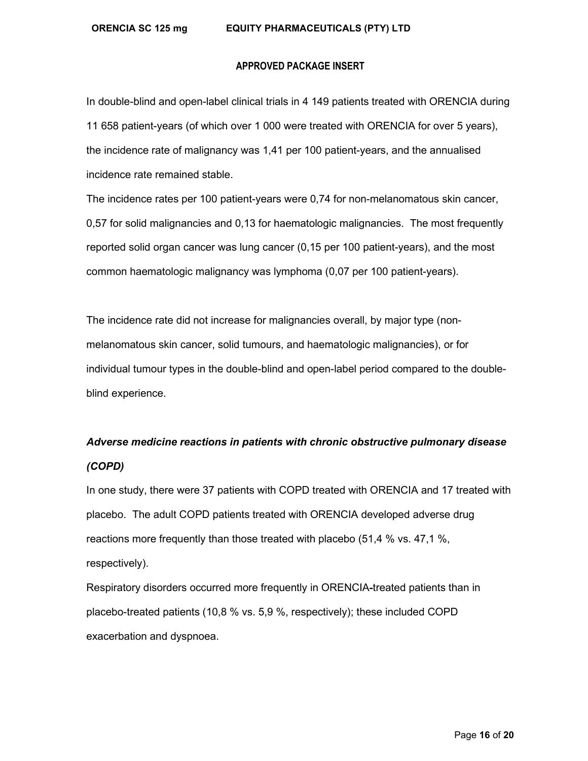#### **ORENCIA SC 125 mg EQUITY PHARMACEUTICALS (PTY) LTD**

#### **APPROVED PACKAGE INSERT**

In double-blind and open-label clinical trials in 4 149 patients treated with ORENCIA during 11 658 patient-years (of which over 1 000 were treated with ORENCIA for over 5 years), the incidence rate of malignancy was 1,41 per 100 patient-years, and the annualised incidence rate remained stable.

The incidence rates per 100 patient-years were 0,74 for non-melanomatous skin cancer, 0,57 for solid malignancies and 0,13 for haematologic malignancies. The most frequently reported solid organ cancer was lung cancer (0,15 per 100 patient-years), and the most common haematologic malignancy was lymphoma (0,07 per 100 patient-years).

The incidence rate did not increase for malignancies overall, by major type (nonmelanomatous skin cancer, solid tumours, and haematologic malignancies), or for individual tumour types in the double-blind and open-label period compared to the doubleblind experience.

# *Adverse medicine reactions in patients with chronic obstructive pulmonary disease (COPD)*

In one study, there were 37 patients with COPD treated with ORENCIA and 17 treated with placebo. The adult COPD patients treated with ORENCIA developed adverse drug reactions more frequently than those treated with placebo (51,4 % vs. 47,1 %, respectively).

Respiratory disorders occurred more frequently in ORENCIA-treated patients than in placebo-treated patients (10,8 % vs. 5,9 %, respectively); these included COPD exacerbation and dyspnoea.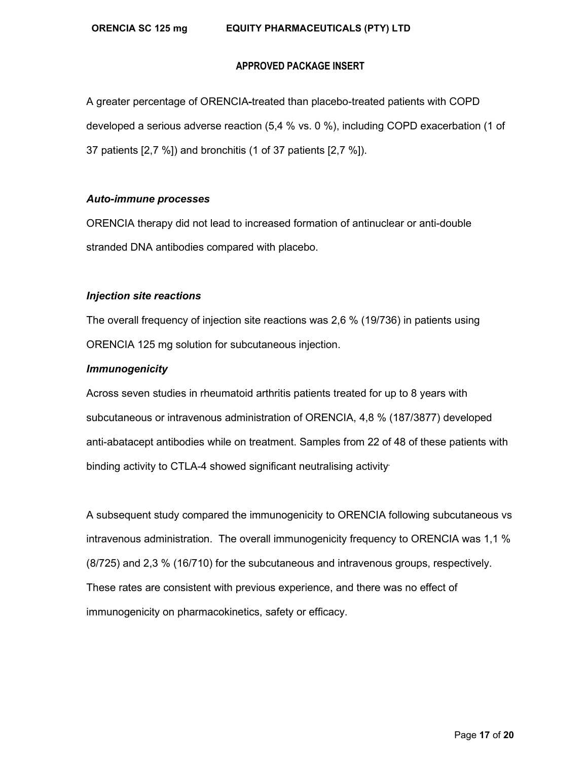A greater percentage of ORENCIA-treated than placebo-treated patients with COPD developed a serious adverse reaction (5,4 % vs. 0 %), including COPD exacerbation (1 of 37 patients [2,7 %]) and bronchitis (1 of 37 patients [2,7 %]).

# *Auto-immune processes*

ORENCIA therapy did not lead to increased formation of antinuclear or anti-double stranded DNA antibodies compared with placebo.

# *Injection site reactions*

The overall frequency of injection site reactions was 2,6 % (19/736) in patients using ORENCIA 125 mg solution for subcutaneous injection.

# *Immunogenicity*

Across seven studies in rheumatoid arthritis patients treated for up to 8 years with subcutaneous or intravenous administration of ORENCIA, 4,8 % (187/3877) developed anti-abatacept antibodies while on treatment. Samples from 22 of 48 of these patients with binding activity to CTLA-4 showed significant neutralising activity*.* 

A subsequent study compared the immunogenicity to ORENCIA following subcutaneous vs intravenous administration. The overall immunogenicity frequency to ORENCIA was 1,1 % (8/725) and 2,3 % (16/710) for the subcutaneous and intravenous groups, respectively. These rates are consistent with previous experience, and there was no effect of immunogenicity on pharmacokinetics, safety or efficacy.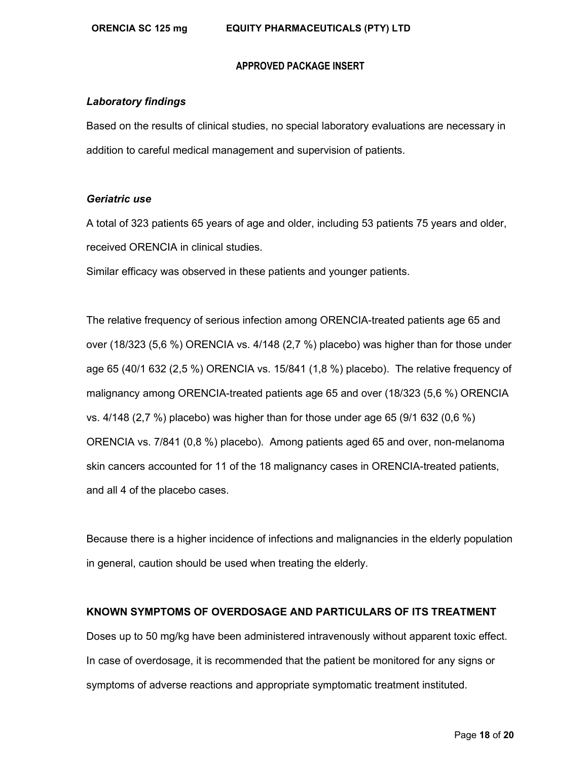#### *Laboratory findings*

Based on the results of clinical studies, no special laboratory evaluations are necessary in addition to careful medical management and supervision of patients.

#### *Geriatric use*

A total of 323 patients 65 years of age and older, including 53 patients 75 years and older, received ORENCIA in clinical studies.

Similar efficacy was observed in these patients and younger patients.

The relative frequency of serious infection among ORENCIA-treated patients age 65 and over (18/323 (5,6 %) ORENCIA vs. 4/148 (2,7 %) placebo) was higher than for those under age 65 (40/1 632 (2,5 %) ORENCIA vs. 15/841 (1,8 %) placebo). The relative frequency of malignancy among ORENCIA-treated patients age 65 and over (18/323 (5,6 %) ORENCIA vs. 4/148 (2,7 %) placebo) was higher than for those under age 65 (9/1 632 (0,6 %) ORENCIA vs. 7/841 (0,8 %) placebo). Among patients aged 65 and over, non-melanoma skin cancers accounted for 11 of the 18 malignancy cases in ORENCIA-treated patients, and all 4 of the placebo cases.

Because there is a higher incidence of infections and malignancies in the elderly population in general, caution should be used when treating the elderly.

#### **KNOWN SYMPTOMS OF OVERDOSAGE AND PARTICULARS OF ITS TREATMENT**

Doses up to 50 mg/kg have been administered intravenously without apparent toxic effect. In case of overdosage, it is recommended that the patient be monitored for any signs or symptoms of adverse reactions and appropriate symptomatic treatment instituted.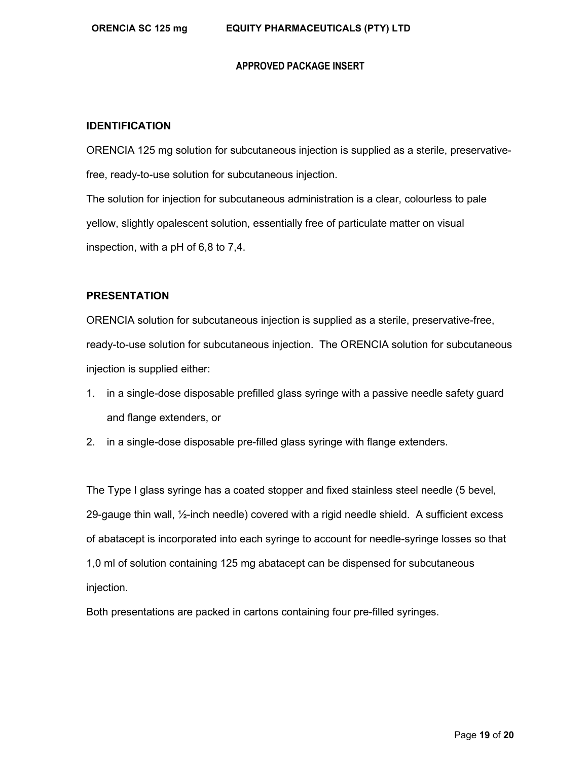#### **IDENTIFICATION**

ORENCIA 125 mg solution for subcutaneous injection is supplied as a sterile, preservativefree, ready-to-use solution for subcutaneous injection. The solution for injection for subcutaneous administration is a clear, colourless to pale yellow, slightly opalescent solution, essentially free of particulate matter on visual inspection, with a pH of 6,8 to 7,4.

# **PRESENTATION**

ORENCIA solution for subcutaneous injection is supplied as a sterile, preservative-free, ready-to-use solution for subcutaneous injection. The ORENCIA solution for subcutaneous injection is supplied either:

- 1. in a single-dose disposable prefilled glass syringe with a passive needle safety guard and flange extenders, or
- 2. in a single-dose disposable pre-filled glass syringe with flange extenders.

The Type I glass syringe has a coated stopper and fixed stainless steel needle (5 bevel, 29-gauge thin wall, ½-inch needle) covered with a rigid needle shield. A sufficient excess of abatacept is incorporated into each syringe to account for needle-syringe losses so that 1,0 ml of solution containing 125 mg abatacept can be dispensed for subcutaneous injection.

Both presentations are packed in cartons containing four pre-filled syringes.